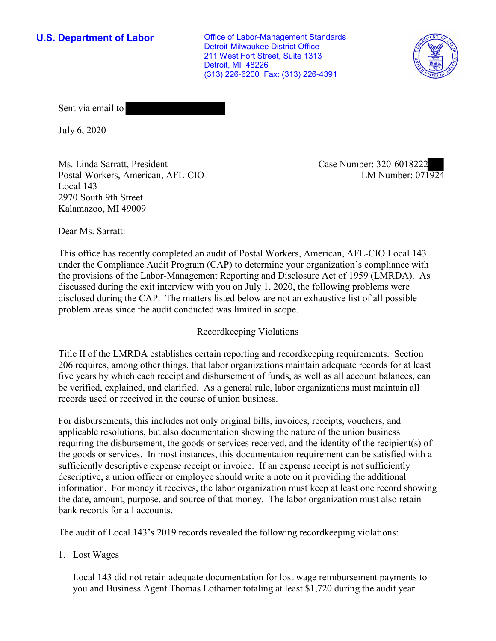**U.S. Department of Labor Conservative Conservative Conservative Conservative U.S.** Department of Labor Detroit-Milwaukee District Office 211 West Fort Street, Suite 1313 Detroit, MI 48226 (313) 226-6200 Fax: (313) 226-4391



Sent via email to

July 6, 2020

Ms. Linda Sarratt, President Case Number: 320-6018222 Postal Workers, American, AFL-CIO Local 143 2970 South 9th Street Kalamazoo, MI 49009

LM Number:  $07\overline{1924}$ 

Dear Ms. Sarratt:

This office has recently completed an audit of Postal Workers, American, AFL-CIO Local 143 under the Compliance Audit Program (CAP) to determine your organization's compliance with the provisions of the Labor-Management Reporting and Disclosure Act of 1959 (LMRDA). As discussed during the exit interview with you on July 1, 2020, the following problems were disclosed during the CAP. The matters listed below are not an exhaustive list of all possible problem areas since the audit conducted was limited in scope.

## Recordkeeping Violations

Title II of the LMRDA establishes certain reporting and recordkeeping requirements. Section 206 requires, among other things, that labor organizations maintain adequate records for at least five years by which each receipt and disbursement of funds, as well as all account balances, can be verified, explained, and clarified. As a general rule, labor organizations must maintain all records used or received in the course of union business.

For disbursements, this includes not only original bills, invoices, receipts, vouchers, and applicable resolutions, but also documentation showing the nature of the union business requiring the disbursement, the goods or services received, and the identity of the recipient(s) of the goods or services. In most instances, this documentation requirement can be satisfied with a sufficiently descriptive expense receipt or invoice. If an expense receipt is not sufficiently descriptive, a union officer or employee should write a note on it providing the additional information. For money it receives, the labor organization must keep at least one record showing the date, amount, purpose, and source of that money. The labor organization must also retain bank records for all accounts.

The audit of Local 143's 2019 records revealed the following recordkeeping violations:

1. Lost Wages

Local 143 did not retain adequate documentation for lost wage reimbursement payments to you and Business Agent Thomas Lothamer totaling at least \$1,720 during the audit year.